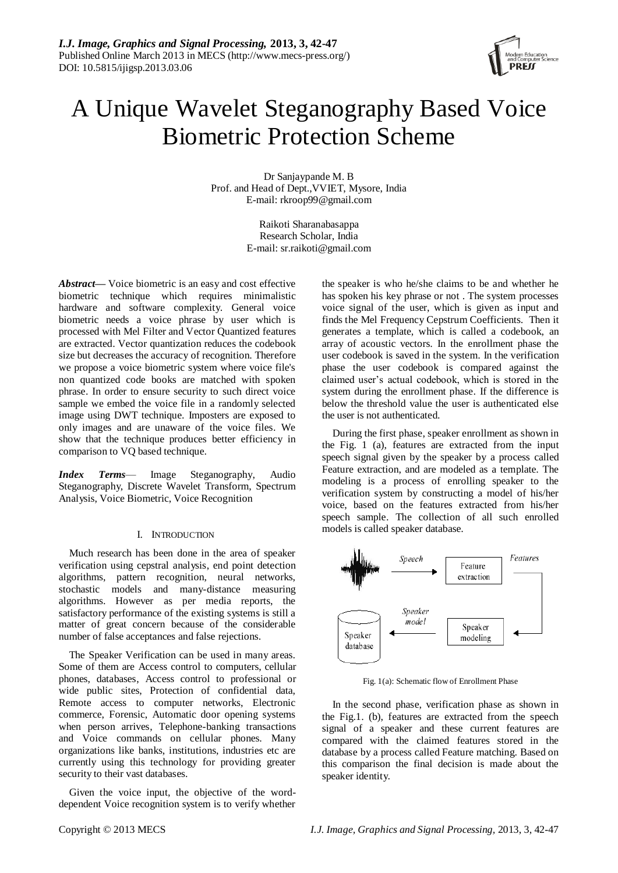

# A Unique Wavelet Steganography Based Voice Biometric Protection Scheme

Dr Sanjaypande M. B Prof. and Head of Dept.,VVIET, Mysore, India E-mail: rkroop99@gmail.com

> Raikoti Sharanabasappa Research Scholar, India E-mail: [sr.raikoti@gmail.com](mailto:qy2127@columbia.edu)

*Abstract***—** Voice biometric is an easy and cost effective biometric technique which requires minimalistic hardware and software complexity. General voice biometric needs a voice phrase by user which is processed with Mel Filter and Vector Quantized features are extracted. Vector quantization reduces the codebook size but decreases the accuracy of recognition. Therefore we propose a voice biometric system where voice file's non quantized code books are matched with spoken phrase. In order to ensure security to such direct voice sample we embed the voice file in a randomly selected image using DWT technique. Imposters are exposed to only images and are unaware of the voice files. We show that the technique produces better efficiency in comparison to VQ based technique.

*Index Terms*— Image Steganography, Audio Steganography, Discrete Wavelet Transform, Spectrum Analysis, Voice Biometric, Voice Recognition

## I. INTRODUCTION

Much research has been done in the area of speaker verification using cepstral analysis, end point detection algorithms, pattern recognition, neural networks, stochastic models and many-distance measuring algorithms. However as per media reports, the satisfactory performance of the existing systems is still a matter of great concern because of the considerable number of false acceptances and false rejections.

The Speaker Verification can be used in many areas. Some of them are Access control to computers, cellular phones, databases, Access control to professional or wide public sites, Protection of confidential data, Remote access to computer networks, Electronic commerce, Forensic, Automatic door opening systems when person arrives, Telephone-banking transactions and Voice commands on cellular phones. Many organizations like banks, institutions, industries etc are currently using this technology for providing greater security to their vast databases.

Given the voice input, the objective of the worddependent Voice recognition system is to verify whether the speaker is who he/she claims to be and whether he has spoken his key phrase or not . The system processes voice signal of the user, which is given as input and finds the Mel Frequency Cepstrum Coefficients. Then it generates a template, which is called a codebook, an array of acoustic vectors. In the enrollment phase the user codebook is saved in the system. In the verification phase the user codebook is compared against the claimed user's actual codebook, which is stored in the system during the enrollment phase. If the difference is below the threshold value the user is authenticated else the user is not authenticated.

During the first phase, speaker enrollment as shown in the Fig. 1 (a), features are extracted from the input speech signal given by the speaker by a process called Feature extraction, and are modeled as a template. The modeling is a process of enrolling speaker to the verification system by constructing a model of his/her voice, based on the features extracted from his/her speech sample. The collection of all such enrolled models is called speaker database.



Fig. 1(a): Schematic flow of Enrollment Phase

In the second phase, verification phase as shown in the Fig.1. (b), features are extracted from the speech signal of a speaker and these current features are compared with the claimed features stored in the database by a process called Feature matching. Based on this comparison the final decision is made about the speaker identity.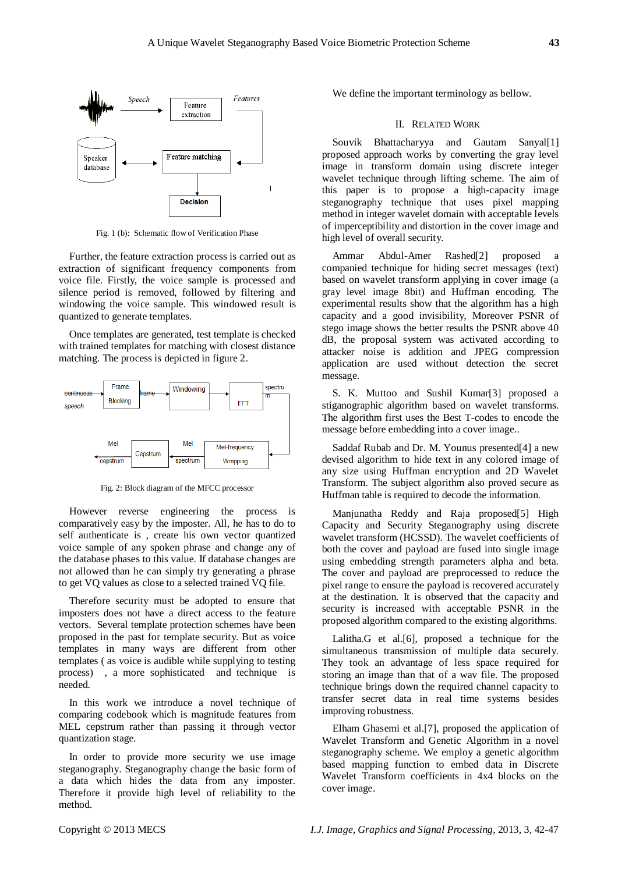

Fig. 1 (b): Schematic flow of Verification Phase

Further, the feature extraction process is carried out as extraction of significant frequency components from voice file. Firstly, the voice sample is processed and silence period is removed, followed by filtering and windowing the voice sample. This windowed result is quantized to generate templates.

Once templates are generated, test template is checked with trained templates for matching with closest distance matching. The process is depicted in figure 2.



Fig. 2: Block diagram of the MFCC processor

However reverse engineering the process is comparatively easy by the imposter. All, he has to do to self authenticate is , create his own vector quantized voice sample of any spoken phrase and change any of the database phases to this value. If database changes are not allowed than he can simply try generating a phrase to get VQ values as close to a selected trained VQ file.

Therefore security must be adopted to ensure that imposters does not have a direct access to the feature vectors. Several template protection schemes have been proposed in the past for template security. But as voice templates in many ways are different from other templates ( as voice is audible while supplying to testing process) , a more sophisticated and technique is needed.

In this work we introduce a novel technique of comparing codebook which is magnitude features from MEL cepstrum rather than passing it through vector quantization stage.

In order to provide more security we use image steganography. Steganography change the basic form of a data which hides the data from any imposter. Therefore it provide high level of reliability to the method.

We define the important terminology as bellow.

#### II. RELATED WORK

Souvik Bhattacharyya and Gautam Sanyal[1] proposed approach works by converting the gray level image in transform domain using discrete integer wavelet technique through lifting scheme. The aim of this paper is to propose a high-capacity image steganography technique that uses pixel mapping method in integer wavelet domain with acceptable levels of imperceptibility and distortion in the cover image and high level of overall security.

Ammar Abdul-Amer Rashed[2] proposed a companied technique for hiding secret messages (text) based on wavelet transform applying in cover image (a gray level image 8bit) and Huffman encoding. The experimental results show that the algorithm has a high capacity and a good invisibility, Moreover PSNR of stego image shows the better results the PSNR above 40 dB, the proposal system was activated according to attacker noise is addition and JPEG compression application are used without detection the secret message.

S. K. Muttoo and Sushil Kumar[3] proposed a stiganographic algorithm based on wavelet transforms. The algorithm first uses the Best T-codes to encode the message before embedding into a cover image..

Saddaf Rubab and Dr. M. Younus presented[4] a new devised algorithm to hide text in any colored image of any size using Huffman encryption and 2D Wavelet Transform. The subject algorithm also proved secure as Huffman table is required to decode the information.

Manjunatha Reddy and Raja proposed[5] High Capacity and Security Steganography using discrete wavelet transform (HCSSD). The wavelet coefficients of both the cover and payload are fused into single image using embedding strength parameters alpha and beta. The cover and payload are preprocessed to reduce the pixel range to ensure the payload is recovered accurately at the destination. It is observed that the capacity and security is increased with acceptable PSNR in the proposed algorithm compared to the existing algorithms.

Lalitha.G et al.[6], proposed a technique for the simultaneous transmission of multiple data securely. They took an advantage of less space required for storing an image than that of a wav file. The proposed technique brings down the required channel capacity to transfer secret data in real time systems besides improving robustness.

Elham Ghasemi et al.[7], proposed the application of Wavelet Transform and Genetic Algorithm in a novel steganography scheme. We employ a genetic algorithm based mapping function to embed data in Discrete Wavelet Transform coefficients in 4x4 blocks on the cover image.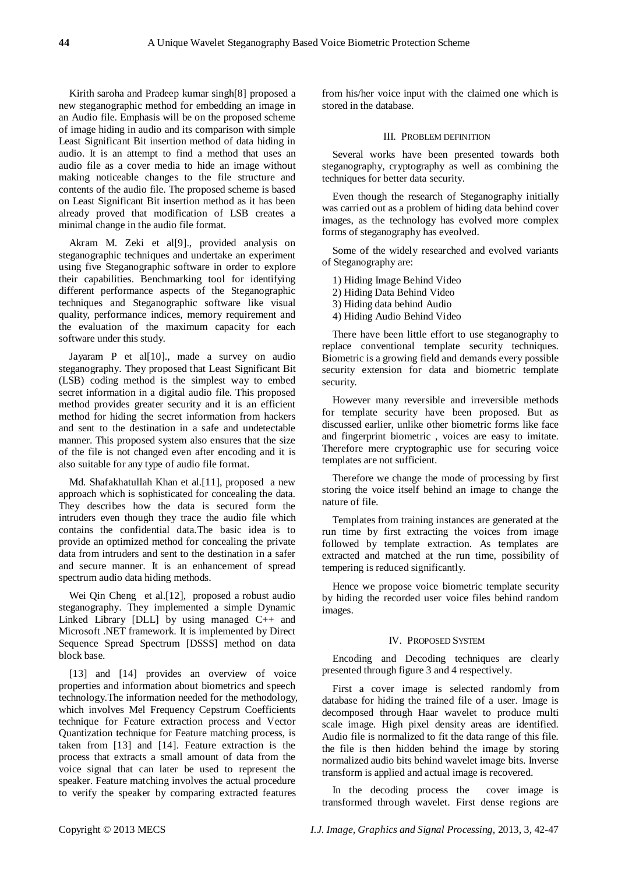Kirith saroha and Pradeep kumar singh[8] proposed a new steganographic method for embedding an image in an Audio file. Emphasis will be on the proposed scheme of image hiding in audio and its comparison with simple Least Significant Bit insertion method of data hiding in audio. It is an attempt to find a method that uses an audio file as a cover media to hide an image without making noticeable changes to the file structure and contents of the audio file. The proposed scheme is based on Least Significant Bit insertion method as it has been already proved that modification of LSB creates a minimal change in the audio file format.

Akram M. Zeki et al[9]., provided analysis on steganographic techniques and undertake an experiment using five Steganographic software in order to explore their capabilities. Benchmarking tool for identifying different performance aspects of the Steganographic techniques and Steganographic software like visual quality, performance indices, memory requirement and the evaluation of the maximum capacity for each software under this study.

Jayaram P et al[10]., made a survey on audio steganography. They proposed that Least Significant Bit (LSB) coding method is the simplest way to embed secret information in a digital audio file. This proposed method provides greater security and it is an efficient method for hiding the secret information from hackers and sent to the destination in a safe and undetectable manner. This proposed system also ensures that the size of the file is not changed even after encoding and it is also suitable for any type of audio file format.

Md. Shafakhatullah Khan et al.[11], proposed a new approach which is sophisticated for concealing the data. They describes how the data is secured form the intruders even though they trace the audio file which contains the confidential data.The basic idea is to provide an optimized method for concealing the private data from intruders and sent to the destination in a safer and secure manner. It is an enhancement of spread spectrum audio data hiding methods.

Wei Qin Chenget al.[12], proposed a robust audio steganography. They implemented a simple Dynamic Linked Library [DLL] by using managed C++ and Microsoft .NET framework. It is implemented by Direct Sequence Spread Spectrum [DSSS] method on data block base.

[13] and [14] provides an overview of voice properties and information about biometrics and speech technology.The information needed for the methodology, which involves Mel Frequency Cepstrum Coefficients technique for Feature extraction process and Vector Quantization technique for Feature matching process, is taken from [13] and [14]. Feature extraction is the process that extracts a small amount of data from the voice signal that can later be used to represent the speaker. Feature matching involves the actual procedure to verify the speaker by comparing extracted features

from his/her voice input with the claimed one which is stored in the database.

## III. PROBLEM DEFINITION

Several works have been presented towards both steganography, cryptography as well as combining the techniques for better data security.

Even though the research of Steganography initially was carried out as a problem of hiding data behind cover images, as the technology has evolved more complex forms of steganography has eveolved.

Some of the widely researched and evolved variants of Steganography are:

- 1) Hiding Image Behind Video 2) Hiding Data Behind Video
- 3) Hiding data behind Audio
- 4) Hiding Audio Behind Video

There have been little effort to use steganography to replace conventional template security techniques. Biometric is a growing field and demands every possible security extension for data and biometric template security.

However many reversible and irreversible methods for template security have been proposed. But as discussed earlier, unlike other biometric forms like face and fingerprint biometric , voices are easy to imitate. Therefore mere cryptographic use for securing voice templates are not sufficient.

Therefore we change the mode of processing by first storing the voice itself behind an image to change the nature of file.

Templates from training instances are generated at the run time by first extracting the voices from image followed by template extraction. As templates are extracted and matched at the run time, possibility of tempering is reduced significantly.

Hence we propose voice biometric template security by hiding the recorded user voice files behind random images.

#### IV. PROPOSED SYSTEM

Encoding and Decoding techniques are clearly presented through figure 3 and 4 respectively.

First a cover image is selected randomly from database for hiding the trained file of a user. Image is decomposed through Haar wavelet to produce multi scale image. High pixel density areas are identified. Audio file is normalized to fit the data range of this file. the file is then hidden behind the image by storing normalized audio bits behind wavelet image bits. Inverse transform is applied and actual image is recovered.

In the decoding process the cover image is transformed through wavelet. First dense regions are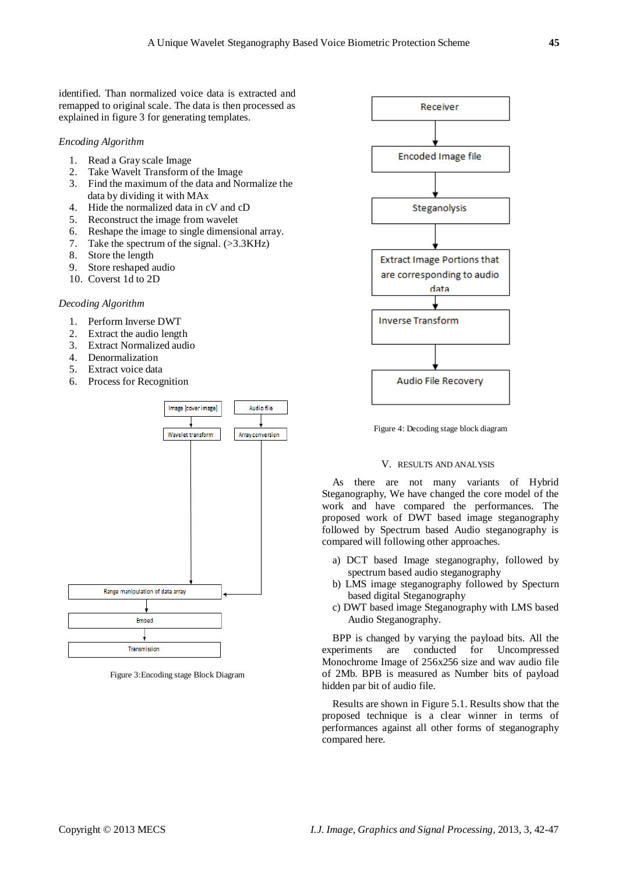identified. Than normalized voice data is extracted and remapped to original scale. The data is then processed as explained in figure 3 for generating templates.

## *Encoding Algorithm*

- 1. Read a Gray scale Image
- 2. Take Wavelt Transform of the Image
- 3. Find the maximum of the data and Normalize the data by dividing it with MAx
- 4. Hide the normalized data in cV and cD
- 5. Reconstruct the image from wavelet
- 6. Reshape the image to single dimensional array.
- 7. Take the spectrum of the signal. (>3.3KHz)
- 8. Store the length
- 9. Store reshaped audio
- 10. Coverst 1d to 2D

## *Decoding Algorithm*

- 1. Perform Inverse DWT
- 2. Extract the audio length
- 3. Extract Normalized audio
- 4. Denormalization
- 5. Extract voice data
- 6. Process for Recognition



Figure 3:Encoding stage Block Diagram



Figure 4: Decoding stage block diagram

## V. RESULTS AND ANALYSIS

As there are not many variants of Hybrid Steganography, We have changed the core model of the work and have compared the performances. The proposed work of DWT based image steganography followed by Spectrum based Audio steganography is compared will following other approaches.

- a) DCT based Image steganography, followed by spectrum based audio steganography
- b) LMS image steganography followed by Specturn based digital Steganography
- c) DWT based image Steganography with LMS based Audio Steganography.

BPP is changed by varying the payload bits. All the experiments are conducted for Uncompressed Monochrome Image of 256x256 size and wav audio file of 2Mb. BPB is measured as Number bits of payload hidden par bit of audio file.

Results are shown in Figure 5.1. Results show that the proposed technique is a clear winner in terms of performances against all other forms of steganography compared here.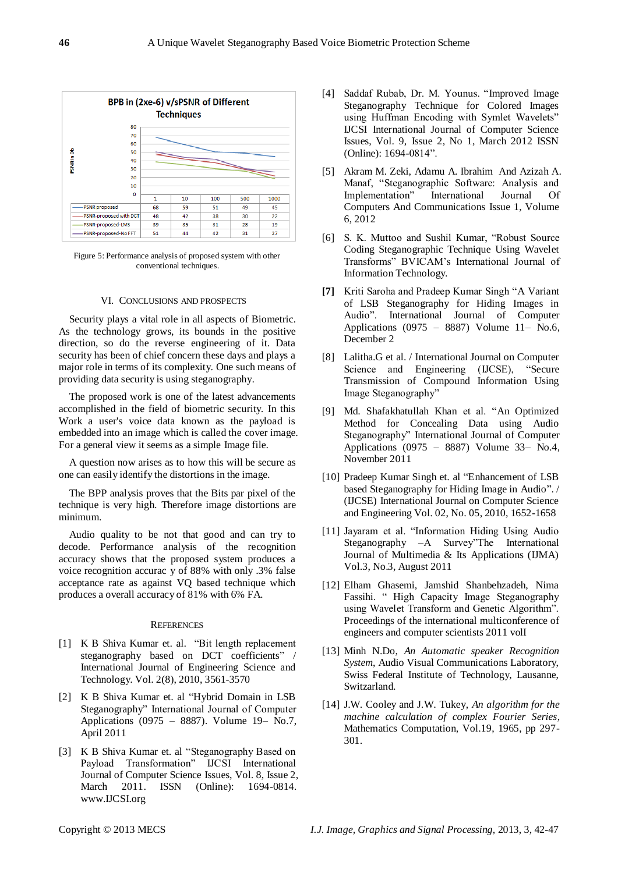

Figure 5: Performance analysis of proposed system with other conventional techniques.

## VI. CONCLUSIONS AND PROSPECTS

Security plays a vital role in all aspects of Biometric. As the technology grows, its bounds in the positive direction, so do the reverse engineering of it. Data security has been of chief concern these days and plays a major role in terms of its complexity. One such means of providing data security is using steganography.

The proposed work is one of the latest advancements accomplished in the field of biometric security. In this Work a user's voice data known as the payload is embedded into an image which is called the cover image. For a general view it seems as a simple Image file.

A question now arises as to how this will be secure as one can easily identify the distortions in the image.

The BPP analysis proves that the Bits par pixel of the technique is very high. Therefore image distortions are minimum.

Audio quality to be not that good and can try to decode. Performance analysis of the recognition accuracy shows that the proposed system produces a voice recognition accurac y of 88% with only .3% false acceptance rate as against VQ based technique which produces a overall accuracy of 81% with 6% FA.

#### **REFERENCES**

- [1] K B Shiva Kumar et. al. "Bit length replacement steganography based on DCT coefficients" / International Journal of Engineering Science and Technology. Vol. 2(8), 2010, 3561-3570
- [2] K B Shiva Kumar et. al "Hybrid Domain in LSB Steganography" International Journal of Computer Applications (0975 – 8887). Volume 19– No.7, April 2011
- [3] K B Shiva Kumar et. al "Steganography Based on Payload Transformation" IJCSI International Journal of Computer Science Issues, Vol. 8, Issue 2, March 2011. ISSN (Online): 1694-0814. www.IJCSI.org
- [4] Saddaf Rubab, Dr. M. Younus. "Improved Image Steganography Technique for Colored Images using Huffman Encoding with Symlet Wavelets" IJCSI International Journal of Computer Science Issues, Vol. 9, Issue 2, No 1, March 2012 ISSN (Online): 1694-0814".
- [5] Akram M. Zeki, Adamu A. Ibrahim And Azizah A. Manaf, "Steganographic Software: Analysis and Implementation" International Journal Of Computers And Communications Issue 1, Volume 6, 2012
- [6] S. K. Muttoo and Sushil Kumar, "Robust Source Coding Steganographic Technique Using Wavelet Transforms‖ BVICAM's International Journal of Information Technology.
- **[7]** Kriti Saroha and Pradeep Kumar Singh "A Variant" of LSB Steganography for Hiding Images in Audio". International Journal of Computer Applications (0975 – 8887) Volume 11– No.6, December 2
- [8] Lalitha.G et al. / International Journal on Computer Science and Engineering (IJCSE), "Secure Transmission of Compound Information Using Image Steganography"
- [9] Md. Shafakhatullah Khan et al. "An Optimized Method for Concealing Data using Audio Steganography" International Journal of Computer Applications (0975 – 8887) Volume 33– No.4, November 2011
- [10] Pradeep Kumar Singh et. al "Enhancement of LSB based Steganography for Hiding Image in Audio". (IJCSE) International Journal on Computer Science and Engineering Vol. 02, No. 05, 2010, 1652-1658
- [11] Jayaram et al. "Information Hiding Using Audio Steganography -A Survey"The International Journal of Multimedia & Its Applications (IJMA) Vol.3, No.3, August 2011
- [12] Elham Ghasemi, Jamshid Shanbehzadeh, Nima Fassihi. " High Capacity Image Steganography using Wavelet Transform and Genetic Algorithm". Proceedings of the international multiconference of engineers and computer scientists 2011 volI
- [13] Minh N.Do, *An Automatic speaker Recognition System*, Audio Visual Communications Laboratory, Swiss Federal Institute of Technology, Lausanne, Switzarland.
- [14] J.W. Cooley and J.W. Tukey, *An algorithm for the machine calculation of complex Fourier Series*, Mathematics Computation, Vol.19, 1965, pp 297- 301.